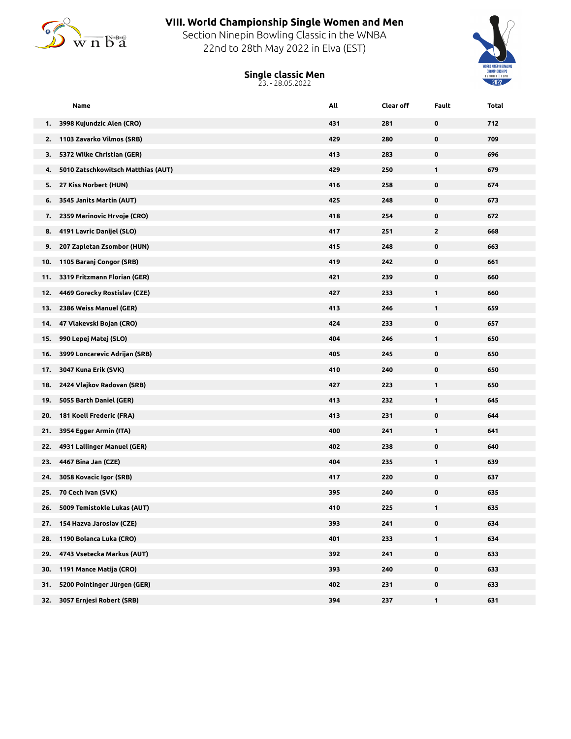

## **VIII. World Championship Single Women and Men**

Section Ninepin Bowling Classic in the WNBA 22nd to 28th May 2022 in Elva (EST)



**Single classic Men** 23. - 28.05.2022

|     | Name                               | All | Clear off | Fault        | Total |
|-----|------------------------------------|-----|-----------|--------------|-------|
| 1.  | 3998 Kujundzic Alen (CRO)          | 431 | 281       | 0            | 712   |
| 2.  | 1103 Zavarko Vilmos (SRB)          | 429 | 280       | 0            | 709   |
| 3.  | 5372 Wilke Christian (GER)         | 413 | 283       | 0            | 696   |
| 4.  | 5010 Zatschkowitsch Matthias (AUT) | 429 | 250       | 1            | 679   |
| 5.  | 27 Kiss Norbert (HUN)              | 416 | 258       | $\mathbf 0$  | 674   |
| 6.  | 3545 Janits Martin (AUT)           | 425 | 248       | 0            | 673   |
| 7.  | 2359 Marinovic Hrvoje (CRO)        | 418 | 254       | 0            | 672   |
| 8.  | 4191 Lavric Danijel (SLO)          | 417 | 251       | $\mathbf{2}$ | 668   |
| 9.  | 207 Zapletan Zsombor (HUN)         | 415 | 248       | $\mathbf 0$  | 663   |
| 10. | 1105 Baranj Congor (SRB)           | 419 | 242       | 0            | 661   |
| 11. | 3319 Fritzmann Florian (GER)       | 421 | 239       | 0            | 660   |
| 12. | 4469 Gorecky Rostislav (CZE)       | 427 | 233       | $\mathbf{1}$ | 660   |
| 13. | 2386 Weiss Manuel (GER)            | 413 | 246       | $\mathbf{1}$ | 659   |
| 14. | 47 Vlakevski Bojan (CRO)           | 424 | 233       | 0            | 657   |
| 15. | 990 Lepej Matej (SLO)              | 404 | 246       | 1            | 650   |
| 16. | 3999 Loncarevic Adrijan (SRB)      | 405 | 245       | 0            | 650   |
| 17. | 3047 Kuna Erik (SVK)               | 410 | 240       | $\mathbf 0$  | 650   |
| 18. | 2424 Vlajkov Radovan (SRB)         | 427 | 223       | $\mathbf{1}$ | 650   |
| 19. | 5055 Barth Daniel (GER)            | 413 | 232       | 1            | 645   |
| 20. | 181 Koell Frederic (FRA)           | 413 | 231       | 0            | 644   |
| 21. | 3954 Egger Armin (ITA)             | 400 | 241       | $\mathbf{1}$ | 641   |
| 22. | 4931 Lallinger Manuel (GER)        | 402 | 238       | 0            | 640   |
| 23. | 4467 Bina Jan (CZE)                | 404 | 235       | 1            | 639   |
| 24. | 3058 Kovacic Igor (SRB)            | 417 | 220       | 0            | 637   |
| 25. | 70 Cech Ivan (SVK)                 | 395 | 240       | 0            | 635   |
| 26. | 5009 Temistokle Lukas (AUT)        | 410 | 225       | 1            | 635   |
| 27. | 154 Hazva Jaroslav (CZE)           | 393 | 241       | 0            | 634   |
| 28. | 1190 Bolanca Luka (CRO)            | 401 | 233       | $\mathbf{1}$ | 634   |
| 29. | 4743 Vsetecka Markus (AUT)         | 392 | 241       | $\pmb{0}$    | 633   |
| 30. | 1191 Mance Matija (CRO)            | 393 | 240       | $\pmb{0}$    | 633   |
| 31. | 5200 Pointinger Jürgen (GER)       | 402 | 231       | $\mathbf 0$  | 633   |
| 32. | 3057 Ernjesi Robert (SRB)          | 394 | 237       | $\mathbf{1}$ | 631   |